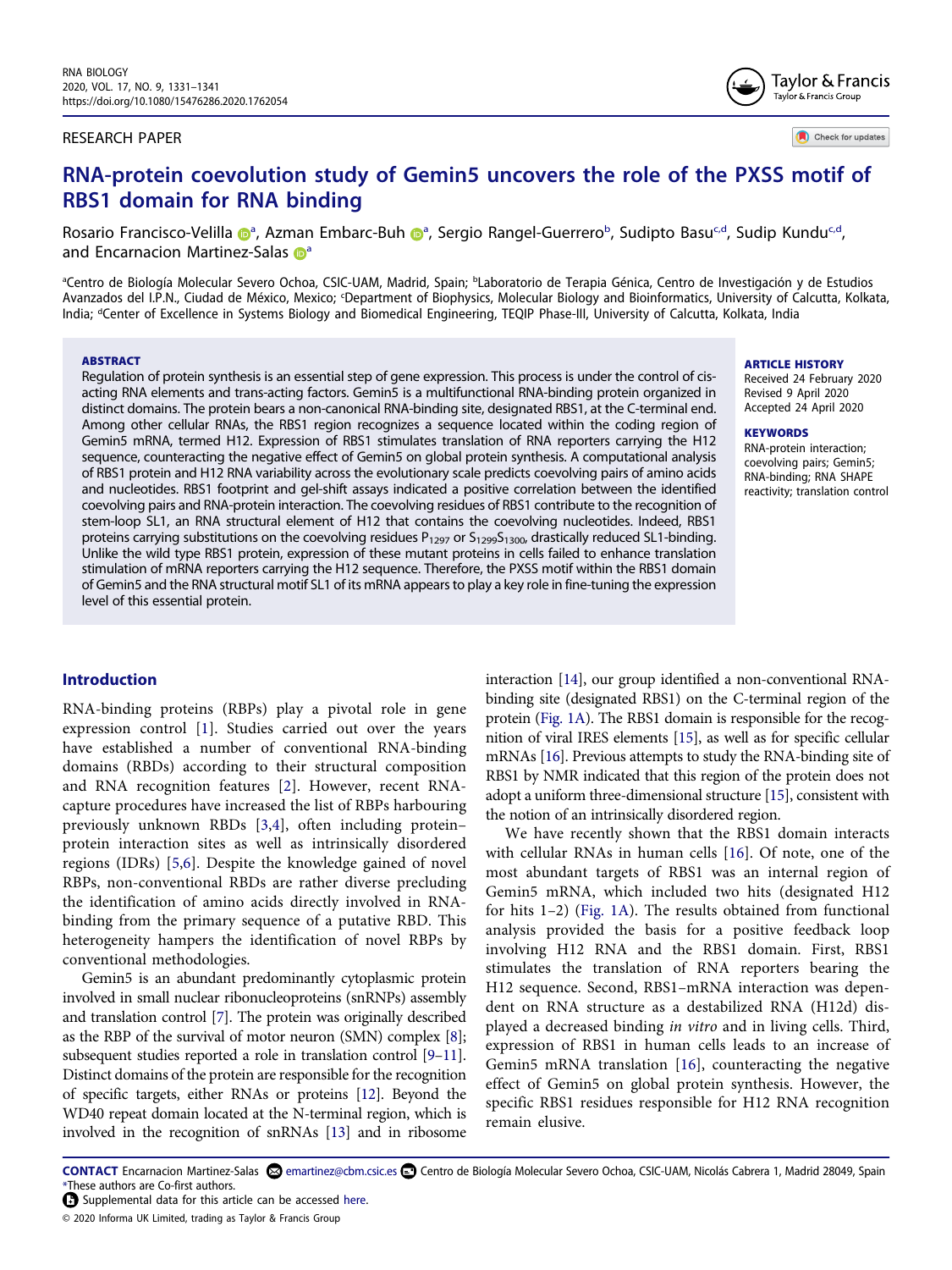### RESEARCH PAPER

Check for updates

# **RNA-protein coevolution study of Gemin5 uncovers the role of the PXSS motif of RBS1 domain for RNA binding**

Ros[a](#page-0-0)rio Francisco-Velilla @ª, Azman Embarc-Bu[h](http://orcid.org/0000-0002-1980-942X) @ª, Sergio Rangel-Guerrero[b](#page-0-0), Sudipto Basu<sup>[c](#page-0-1)[,d](#page-0-2)</sup>, Sudip Kundu<sup>c,d</sup>, and Encarnacion Martinez-Sala[s](http://orcid.org/0000-0002-8432-5587) <sup>n</sup>

<span id="page-0-2"></span><span id="page-0-1"></span><span id="page-0-0"></span>ªCentro de Biología Molecular Severo Ochoa, CSIC-UAM, Madrid, Spain; <sup>b</sup>Laboratorio de Terapia Génica, Centro de Investigación y de Estudios Avanzados del I.P.N., Ciudad de México, Mexico; <sup>c</sup>Department of Biophysics, Molecular Biology and Bioinformatics, University of Calcutta, Kolkata, India; <sup>d</sup>Center of Excellence in Systems Biology and Biomedical Engineering, TEQIP Phase-III, University of Calcutta, Kolkata, India

#### **ABSTRACT**

Regulation of protein synthesis is an essential step of gene expression. This process is under the control of cisacting RNA elements and trans-acting factors. Gemin5 is a multifunctional RNA-binding protein organized in distinct domains. The protein bears a non-canonical RNA-binding site, designated RBS1, at the C-terminal end. Among other cellular RNAs, the RBS1 region recognizes a sequence located within the coding region of Gemin5 mRNA, termed H12. Expression of RBS1 stimulates translation of RNA reporters carrying the H12 sequence, counteracting the negative effect of Gemin5 on global protein synthesis. A computational analysis of RBS1 protein and H12 RNA variability across the evolutionary scale predicts coevolving pairs of amino acids and nucleotides. RBS1 footprint and gel-shift assays indicated a positive correlation between the identified coevolving pairs and RNA-protein interaction. The coevolving residues of RBS1 contribute to the recognition of stem-loop SL1, an RNA structural element of H12 that contains the coevolving nucleotides. Indeed, RBS1 proteins carrying substitutions on the coevolving residues  $P_{1297}$  or  $S_{1299}S_{1300}$ , drastically reduced SL1-binding. Unlike the wild type RBS1 protein, expression of these mutant proteins in cells failed to enhance translation stimulation of mRNA reporters carrying the H12 sequence. Therefore, the PXSS motif within the RBS1 domain of Gemin5 and the RNA structural motif SL1 of its mRNA appears to play a key role in fine-tuning the expression level of this essential protein.

### **Introduction**

<span id="page-0-5"></span><span id="page-0-4"></span><span id="page-0-3"></span>RNA-binding proteins (RBPs) play a pivotal role in gene expression control [[1](#page-9-0)]. Studies carried out over the years have established a number of conventional RNA-binding domains (RBDs) according to their structural composition and RNA recognition features [[2\]](#page-10-0). However, recent RNAcapture procedures have increased the list of RBPs harbouring previously unknown RBDs [[3,](#page-10-1)[4\]](#page-10-2), often including protein– protein interaction sites as well as intrinsically disordered regions (IDRs) [\[5](#page-10-3)[,6](#page-10-4)]. Despite the knowledge gained of novel RBPs, non-conventional RBDs are rather diverse precluding the identification of amino acids directly involved in RNAbinding from the primary sequence of a putative RBD. This heterogeneity hampers the identification of novel RBPs by conventional methodologies.

<span id="page-0-9"></span><span id="page-0-8"></span><span id="page-0-7"></span><span id="page-0-6"></span>Gemin5 is an abundant predominantly cytoplasmic protein involved in small nuclear ribonucleoproteins (snRNPs) assembly and translation control [\[7\]](#page-10-5). The protein was originally described as the RBP of the survival of motor neuron (SMN) complex [\[8](#page-10-6)]; subsequent studies reported a role in translation control [[9](#page-10-7)[–11](#page-10-8)]. Distinct domains of the protein are responsible for the recognition of specific targets, either RNAs or proteins [\[12](#page-10-9)]. Beyond the WD40 repeat domain located at the N-terminal region, which is involved in the recognition of snRNAs [\[13](#page-10-10)] and in ribosome

<span id="page-0-12"></span>interaction [\[14\]](#page-10-11), our group identified a non-conventional RNAbinding site (designated RBS1) on the C-terminal region of the protein [\(Fig. 1A](#page-1-0)). The RBS1 domain is responsible for the recognition of viral IRES elements [\[15](#page-10-12)], as well as for specific cellular mRNAs [\[16](#page-10-13)]. Previous attempts to study the RNA-binding site of RBS1 by NMR indicated that this region of the protein does not adopt a uniform three-dimensional structure [\[15](#page-10-12)], consistent with the notion of an intrinsically disordered region.

<span id="page-0-14"></span><span id="page-0-13"></span>We have recently shown that the RBS1 domain interacts with cellular RNAs in human cells [[16](#page-10-13)]. Of note, one of the most abundant targets of RBS1 was an internal region of Gemin5 mRNA, which included two hits (designated H12 for hits 1–2) [\(Fig. 1A\)](#page-1-0). The results obtained from functional analysis provided the basis for a positive feedback loop involving H12 RNA and the RBS1 domain. First, RBS1 stimulates the translation of RNA reporters bearing the H12 sequence. Second, RBS1–mRNA interaction was dependent on RNA structure as a destabilized RNA (H12d) displayed a decreased binding in vitro and in living cells. Third, expression of RBS1 in human cells leads to an increase of Gemin5 mRNA translation [[16](#page-10-13)], counteracting the negative effect of Gemin5 on global protein synthesis. However, the specific RBS1 residues responsible for H12 RNA recognition remain elusive.

<span id="page-0-11"></span><span id="page-0-10"></span>CONTACT Encarnacion Martinez-Salas <sup>©</sup> emartinez@cbm.csic.es **□** Centro de Biología Molecular Severo Ochoa, CSIC-UAM, Nicolás Cabrera 1, Madrid 28049, Spain \*These authors are Co-first authors.

#### ARTICLE HISTORY

Received 24 February 2020 Revised 9 April 2020 Accepted 24 April 2020

#### **KEYWORDS**

RNA-protein interaction; coevolving pairs; Gemin5; RNA-binding; RNA SHAPE reactivity; translation control



Supplemental data for this article can be accessed [here](https://doi.org/10.1080/15476286.2020.1762054).

<sup>© 2020</sup> Informa UK Limited, trading as Taylor & Francis Group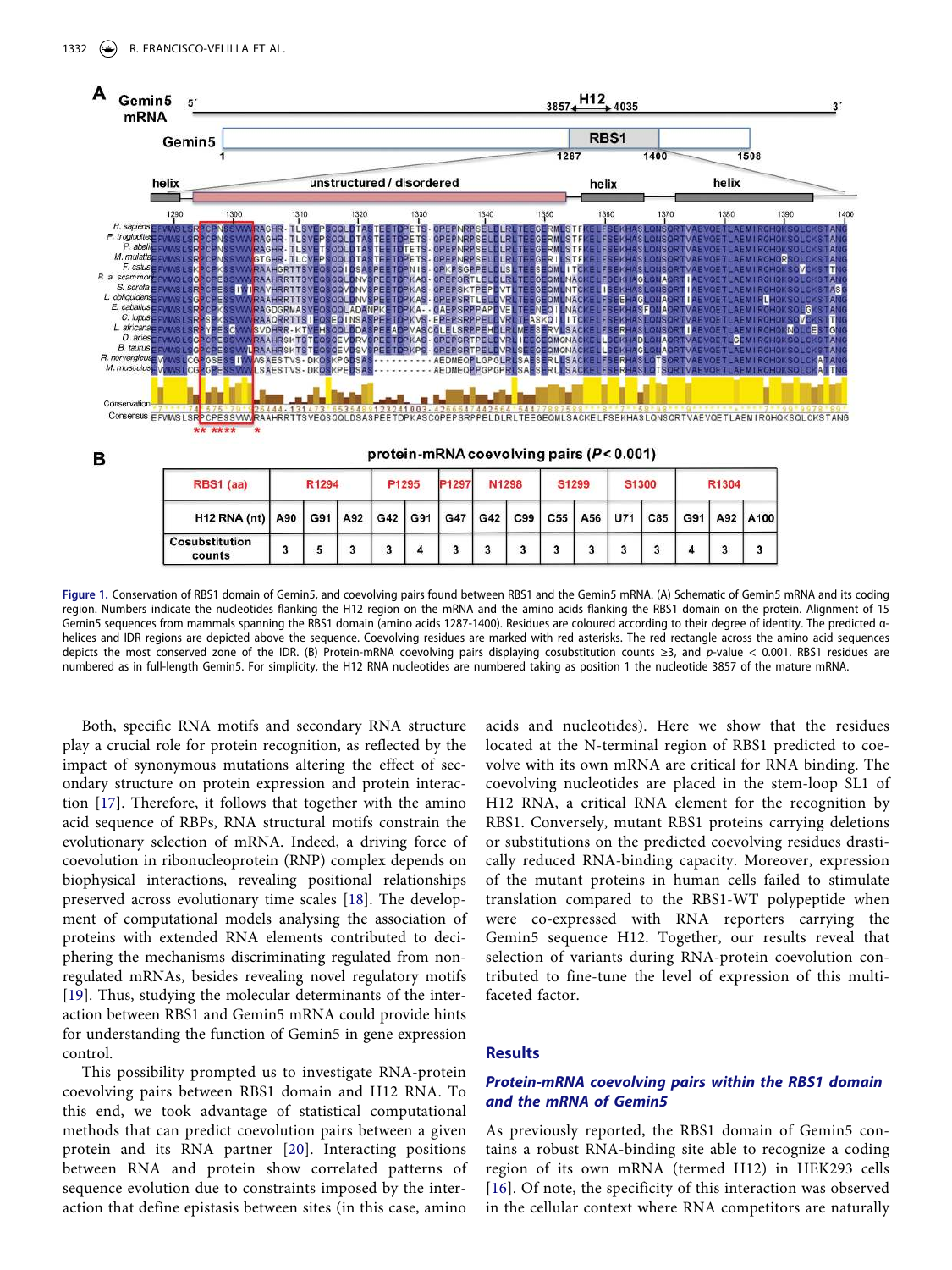

<span id="page-1-0"></span>**Figure 1.** Conservation of RBS1 domain of Gemin5, and coevolving pairs found between RBS1 and the Gemin5 mRNA. (A) Schematic of Gemin5 mRNA and its coding region. Numbers indicate the nucleotides flanking the H12 region on the mRNA and the amino acids flanking the RBS1 domain on the protein. Alignment of 15 Gemin5 sequences from mammals spanning the RBS1 domain (amino acids 1287-1400). Residues are coloured according to their degree of identity. The predicted αhelices and IDR regions are depicted above the sequence. Coevolving residues are marked with red asterisks. The red rectangle across the amino acid sequences depicts the most conserved zone of the IDR. (B) Protein-mRNA coevolving pairs displaying cosubstitution counts ≥3, and p-value < 0.001. RBS1 residues are numbered as in full-length Gemin5. For simplicity, the H12 RNA nucleotides are numbered taking as position 1 the nucleotide 3857 of the mature mRNA.

<span id="page-1-2"></span><span id="page-1-1"></span>Both, specific RNA motifs and secondary RNA structure play a crucial role for protein recognition, as reflected by the impact of synonymous mutations altering the effect of secondary structure on protein expression and protein interaction [[17](#page-10-14)]. Therefore, it follows that together with the amino acid sequence of RBPs, RNA structural motifs constrain the evolutionary selection of mRNA. Indeed, a driving force of coevolution in ribonucleoprotein (RNP) complex depends on biophysical interactions, revealing positional relationships preserved across evolutionary time scales [\[18\]](#page-10-15). The development of computational models analysing the association of proteins with extended RNA elements contributed to deciphering the mechanisms discriminating regulated from nonregulated mRNAs, besides revealing novel regulatory motifs [\[19](#page-10-16)]. Thus, studying the molecular determinants of the interaction between RBS1 and Gemin5 mRNA could provide hints for understanding the function of Gemin5 in gene expression control.

<span id="page-1-4"></span><span id="page-1-3"></span>This possibility prompted us to investigate RNA-protein coevolving pairs between RBS1 domain and H12 RNA. To this end, we took advantage of statistical computational methods that can predict coevolution pairs between a given protein and its RNA partner [[20\]](#page-10-17). Interacting positions between RNA and protein show correlated patterns of sequence evolution due to constraints imposed by the interaction that define epistasis between sites (in this case, amino

acids and nucleotides). Here we show that the residues located at the N-terminal region of RBS1 predicted to coevolve with its own mRNA are critical for RNA binding. The coevolving nucleotides are placed in the stem-loop SL1 of H12 RNA, a critical RNA element for the recognition by RBS1. Conversely, mutant RBS1 proteins carrying deletions or substitutions on the predicted coevolving residues drastically reduced RNA-binding capacity. Moreover, expression of the mutant proteins in human cells failed to stimulate translation compared to the RBS1-WT polypeptide when were co-expressed with RNA reporters carrying the Gemin5 sequence H12. Together, our results reveal that selection of variants during RNA-protein coevolution contributed to fine-tune the level of expression of this multifaceted factor.

#### **Results**

## **Protein-mRNA coevolving pairs within the RBS1 domain and the mRNA of Gemin5**

As previously reported, the RBS1 domain of Gemin5 contains a robust RNA-binding site able to recognize a coding region of its own mRNA (termed H12) in HEK293 cells [[16](#page-10-13)]. Of note, the specificity of this interaction was observed in the cellular context where RNA competitors are naturally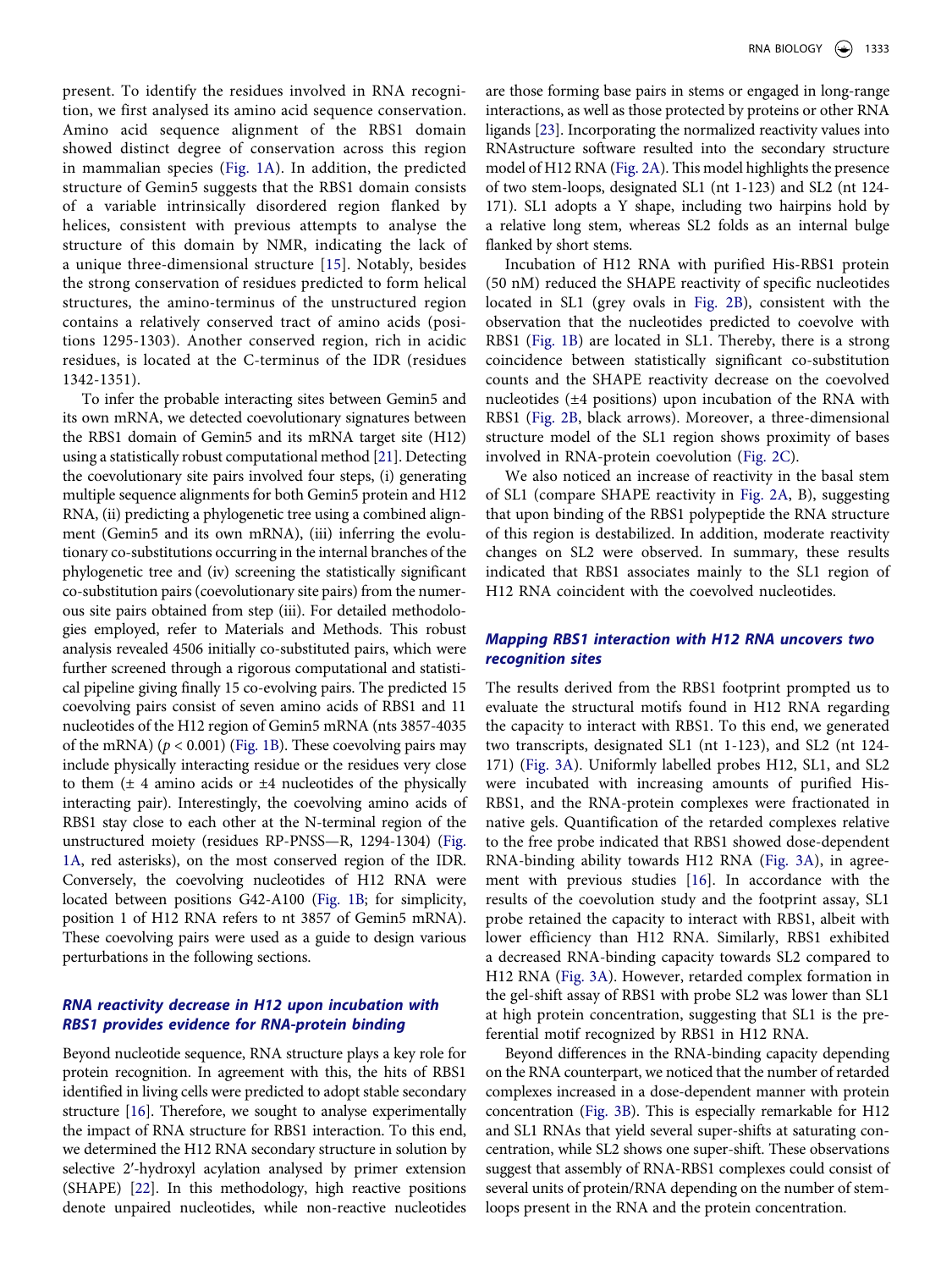present. To identify the residues involved in RNA recognition, we first analysed its amino acid sequence conservation. Amino acid sequence alignment of the RBS1 domain showed distinct degree of conservation across this region in mammalian species ([Fig. 1A\)](#page-1-0). In addition, the predicted structure of Gemin5 suggests that the RBS1 domain consists of a variable intrinsically disordered region flanked by helices, consistent with previous attempts to analyse the structure of this domain by NMR, indicating the lack of a unique three-dimensional structure [\[15](#page-10-12)]. Notably, besides the strong conservation of residues predicted to form helical structures, the amino-terminus of the unstructured region contains a relatively conserved tract of amino acids (positions 1295-1303). Another conserved region, rich in acidic residues, is located at the C-terminus of the IDR (residues 1342-1351).

<span id="page-2-0"></span>To infer the probable interacting sites between Gemin5 and its own mRNA, we detected coevolutionary signatures between the RBS1 domain of Gemin5 and its mRNA target site (H12) using a statistically robust computational method [\[21](#page-10-18)]. Detecting the coevolutionary site pairs involved four steps, (i) generating multiple sequence alignments for both Gemin5 protein and H12 RNA, (ii) predicting a phylogenetic tree using a combined alignment (Gemin5 and its own mRNA), (iii) inferring the evolutionary co-substitutions occurring in the internal branches of the phylogenetic tree and (iv) screening the statistically significant co-substitution pairs (coevolutionary site pairs) from the numerous site pairs obtained from step (iii). For detailed methodologies employed, refer to Materials and Methods. This robust analysis revealed 4506 initially co-substituted pairs, which were further screened through a rigorous computational and statistical pipeline giving finally 15 co-evolving pairs. The predicted 15 coevolving pairs consist of seven amino acids of RBS1 and 11 nucleotides of the H12 region of Gemin5 mRNA (nts 3857-4035 of the mRNA) ( $p < 0.001$ ) ([Fig. 1B](#page-1-0)). These coevolving pairs may include physically interacting residue or the residues very close to them  $(\pm 4$  amino acids or  $\pm 4$  nucleotides of the physically interacting pair). Interestingly, the coevolving amino acids of RBS1 stay close to each other at the N-terminal region of the unstructured moiety (residues RP-PNSS—R, 1294-1304) [\(Fig.](#page-1-0)  [1A,](#page-1-0) red asterisks), on the most conserved region of the IDR. Conversely, the coevolving nucleotides of H12 RNA were located between positions G42-A100 ([Fig. 1B](#page-1-0); for simplicity, position 1 of H12 RNA refers to nt 3857 of Gemin5 mRNA). These coevolving pairs were used as a guide to design various perturbations in the following sections.

# **RNA reactivity decrease in H12 upon incubation with RBS1 provides evidence for RNA-protein binding**

<span id="page-2-1"></span>Beyond nucleotide sequence, RNA structure plays a key role for protein recognition. In agreement with this, the hits of RBS1 identified in living cells were predicted to adopt stable secondary structure [\[16\]](#page-10-13). Therefore, we sought to analyse experimentally the impact of RNA structure for RBS1 interaction. To this end, we determined the H12 RNA secondary structure in solution by selective 2′-hydroxyl acylation analysed by primer extension (SHAPE) [\[22\]](#page-10-19). In this methodology, high reactive positions denote unpaired nucleotides, while non-reactive nucleotides

<span id="page-2-2"></span>are those forming base pairs in stems or engaged in long-range interactions, as well as those protected by proteins or other RNA ligands [[23](#page-10-20)]. Incorporating the normalized reactivity values into RNAstructure software resulted into the secondary structure model of H12 RNA [\(Fig. 2A\)](#page-3-0). This model highlights the presence of two stem-loops, designated SL1 (nt 1-123) and SL2 (nt 124- 171). SL1 adopts a Y shape, including two hairpins hold by a relative long stem, whereas SL2 folds as an internal bulge flanked by short stems.

Incubation of H12 RNA with purified His-RBS1 protein (50 nM) reduced the SHAPE reactivity of specific nucleotides located in SL1 (grey ovals in [Fig. 2B\)](#page-3-0), consistent with the observation that the nucleotides predicted to coevolve with RBS1 ([Fig. 1B\)](#page-1-0) are located in SL1. Thereby, there is a strong coincidence between statistically significant co-substitution counts and the SHAPE reactivity decrease on the coevolved nucleotides (±4 positions) upon incubation of the RNA with RBS1 ([Fig. 2B,](#page-3-0) black arrows). Moreover, a three-dimensional structure model of the SL1 region shows proximity of bases involved in RNA-protein coevolution [\(Fig. 2C](#page-3-0)).

We also noticed an increase of reactivity in the basal stem of SL1 (compare SHAPE reactivity in [Fig. 2A,](#page-3-0) B), suggesting that upon binding of the RBS1 polypeptide the RNA structure of this region is destabilized. In addition, moderate reactivity changes on SL2 were observed. In summary, these results indicated that RBS1 associates mainly to the SL1 region of H12 RNA coincident with the coevolved nucleotides.

# **Mapping RBS1 interaction with H12 RNA uncovers two recognition sites**

The results derived from the RBS1 footprint prompted us to evaluate the structural motifs found in H12 RNA regarding the capacity to interact with RBS1. To this end, we generated two transcripts, designated SL1 (nt 1-123), and SL2 (nt 124- 171) ([Fig. 3A\)](#page-4-0). Uniformly labelled probes H12, SL1, and SL2 were incubated with increasing amounts of purified His-RBS1, and the RNA-protein complexes were fractionated in native gels. Quantification of the retarded complexes relative to the free probe indicated that RBS1 showed dose-dependent RNA-binding ability towards H12 RNA [\(Fig. 3A](#page-4-0)), in agreement with previous studies [\[16\]](#page-10-13). In accordance with the results of the coevolution study and the footprint assay, SL1 probe retained the capacity to interact with RBS1, albeit with lower efficiency than H12 RNA. Similarly, RBS1 exhibited a decreased RNA-binding capacity towards SL2 compared to H12 RNA ([Fig. 3A](#page-4-0)). However, retarded complex formation in the gel-shift assay of RBS1 with probe SL2 was lower than SL1 at high protein concentration, suggesting that SL1 is the preferential motif recognized by RBS1 in H12 RNA.

Beyond differences in the RNA-binding capacity depending on the RNA counterpart, we noticed that the number of retarded complexes increased in a dose-dependent manner with protein concentration [\(Fig. 3B\)](#page-4-0). This is especially remarkable for H12 and SL1 RNAs that yield several super-shifts at saturating concentration, while SL2 shows one super-shift. These observations suggest that assembly of RNA-RBS1 complexes could consist of several units of protein/RNA depending on the number of stemloops present in the RNA and the protein concentration.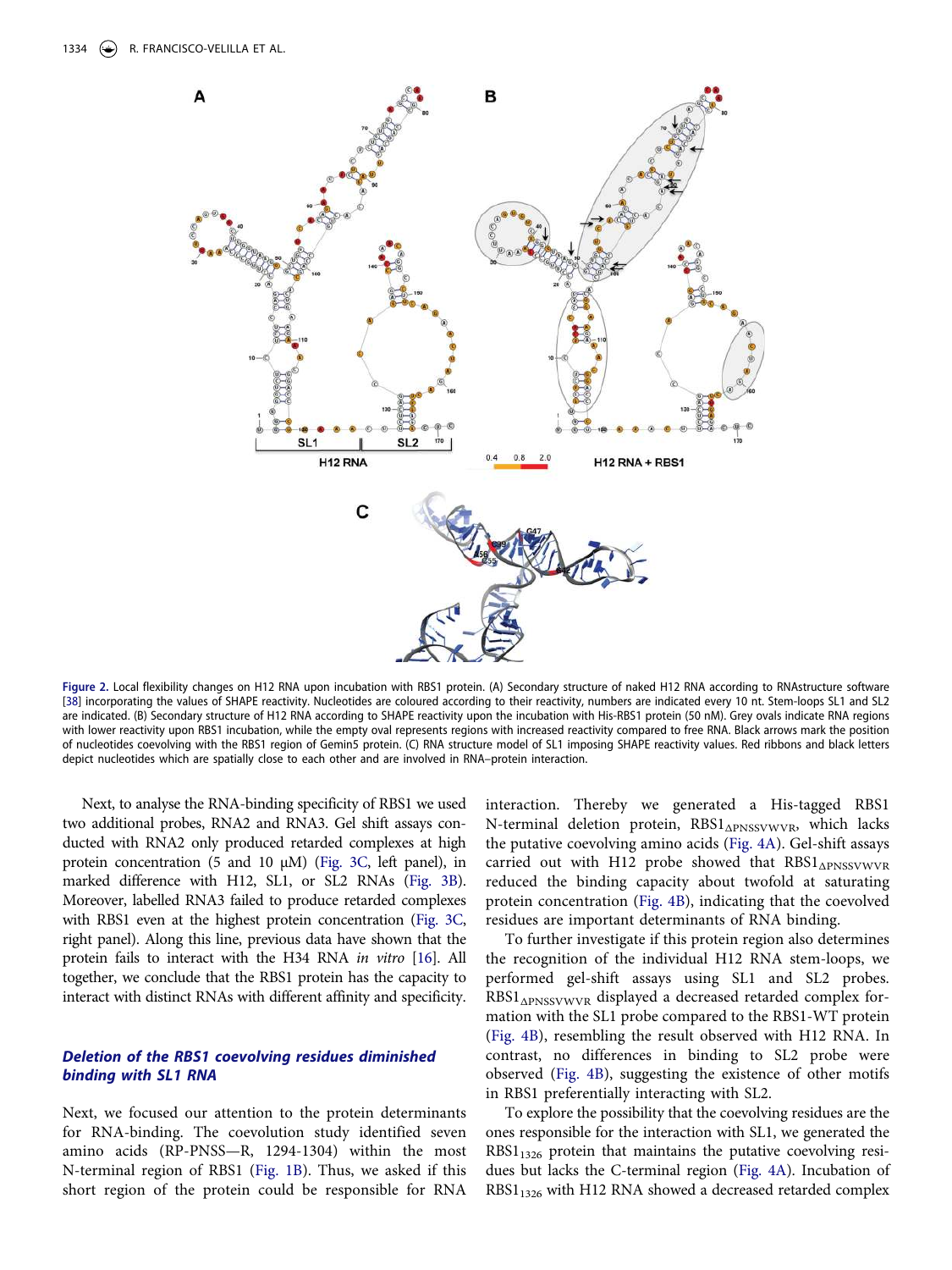

<span id="page-3-1"></span><span id="page-3-0"></span>**Figure 2.** Local flexibility changes on H12 RNA upon incubation with RBS1 protein. (A) Secondary structure of naked H12 RNA according to RNAstructure software [\[38\]](#page-10-21) incorporating the values of SHAPE reactivity. Nucleotides are coloured according to their reactivity, numbers are indicated every 10 nt. Stem-loops SL1 and SL2 are indicated. (B) Secondary structure of H12 RNA according to SHAPE reactivity upon the incubation with His-RBS1 protein (50 nM). Grey ovals indicate RNA regions with lower reactivity upon RBS1 incubation, while the empty oval represents regions with increased reactivity compared to free RNA. Black arrows mark the position of nucleotides coevolving with the RBS1 region of Gemin5 protein. (C) RNA structure model of SL1 imposing SHAPE reactivity values. Red ribbons and black letters depict nucleotides which are spatially close to each other and are involved in RNA–protein interaction.

Next, to analyse the RNA-binding specificity of RBS1 we used two additional probes, RNA2 and RNA3. Gel shift assays conducted with RNA2 only produced retarded complexes at high protein concentration (5 and 10 µM) ([Fig. 3C](#page-4-0), left panel), in marked difference with H12, SL1, or SL2 RNAs [\(Fig. 3B](#page-4-0)). Moreover, labelled RNA3 failed to produce retarded complexes with RBS1 even at the highest protein concentration [\(Fig. 3C,](#page-4-0) right panel). Along this line, previous data have shown that the protein fails to interact with the H34 RNA in vitro [\[16](#page-10-13)]. All together, we conclude that the RBS1 protein has the capacity to interact with distinct RNAs with different affinity and specificity.

# **Deletion of the RBS1 coevolving residues diminished binding with SL1 RNA**

Next, we focused our attention to the protein determinants for RNA-binding. The coevolution study identified seven amino acids (RP-PNSS—R, 1294-1304) within the most N-terminal region of RBS1 [\(Fig. 1B\)](#page-1-0). Thus, we asked if this short region of the protein could be responsible for RNA interaction. Thereby we generated a His-tagged RBS1 N-terminal deletion protein, RBS1<sub>ΔPNSSVWVR</sub>, which lacks the putative coevolving amino acids ([Fig. 4A](#page-5-0)). Gel-shift assays carried out with H12 probe showed that RBS1<sub>APNSSVWVR</sub> reduced the binding capacity about twofold at saturating protein concentration ([Fig. 4B](#page-5-0)), indicating that the coevolved residues are important determinants of RNA binding.

To further investigate if this protein region also determines the recognition of the individual H12 RNA stem-loops, we performed gel-shift assays using SL1 and SL2 probes. RBS1<sub>APNSSVWVR</sub> displayed a decreased retarded complex formation with the SL1 probe compared to the RBS1-WT protein [\(Fig. 4B\)](#page-5-0), resembling the result observed with H12 RNA. In contrast, no differences in binding to SL2 probe were observed ([Fig. 4B\)](#page-5-0), suggesting the existence of other motifs in RBS1 preferentially interacting with SL2.

To explore the possibility that the coevolving residues are the ones responsible for the interaction with SL1, we generated the  $RBS1_{1326}$  protein that maintains the putative coevolving residues but lacks the C-terminal region ([Fig. 4A\)](#page-5-0). Incubation of RBS1<sub>1326</sub> with H12 RNA showed a decreased retarded complex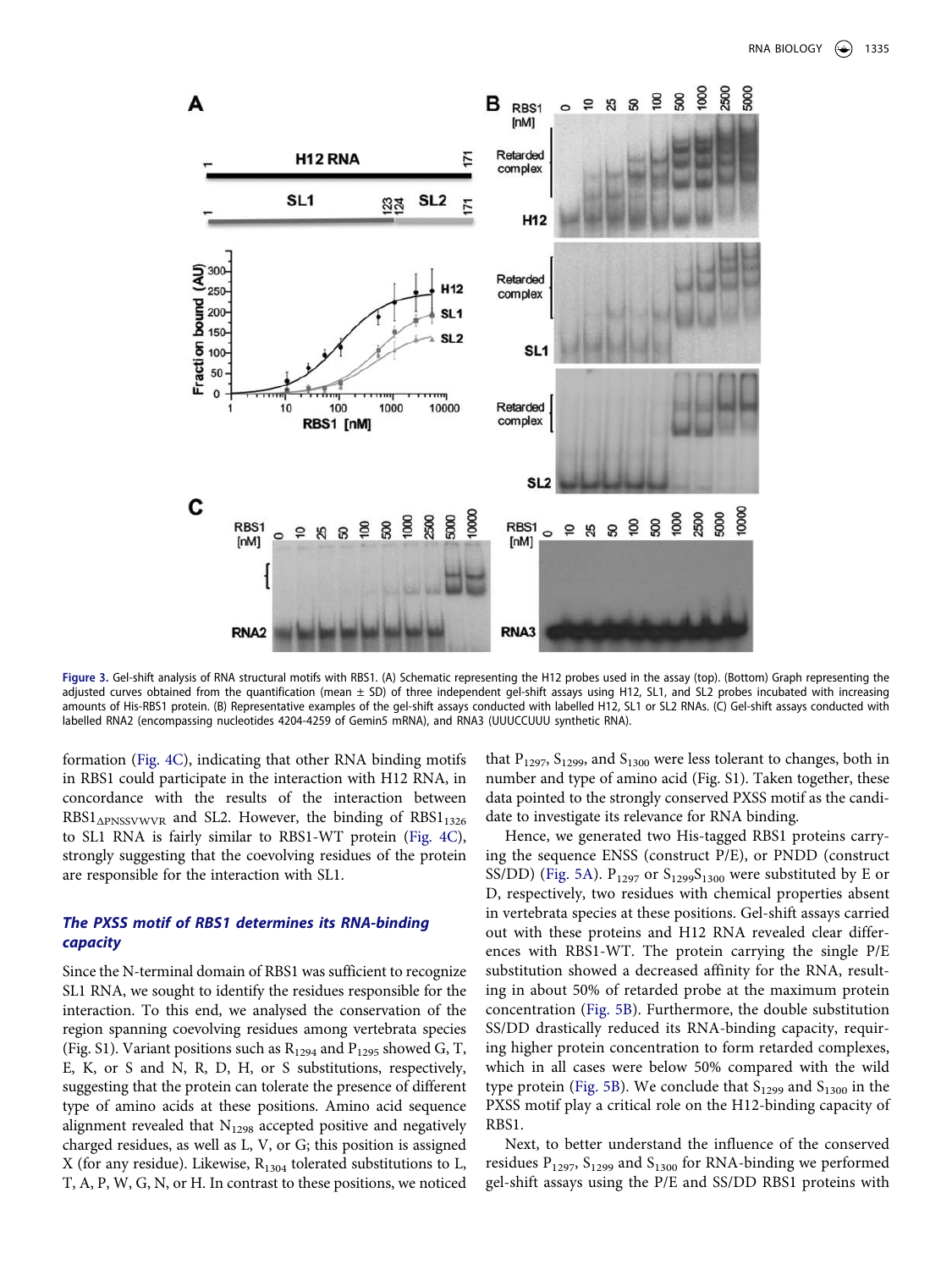

<span id="page-4-0"></span>**Figure 3.** Gel-shift analysis of RNA structural motifs with RBS1. (A) Schematic representing the H12 probes used in the assay (top). (Bottom) Graph representing the adjusted curves obtained from the quantification (mean ± SD) of three independent gel-shift assays using H12, SL1, and SL2 probes incubated with increasing amounts of His-RBS1 protein. (B) Representative examples of the gel-shift assays conducted with labelled H12, SL1 or SL2 RNAs. (C) Gel-shift assays conducted with labelled RNA2 (encompassing nucleotides 4204-4259 of Gemin5 mRNA), and RNA3 (UUUCCUUU synthetic RNA).

formation [\(Fig. 4C](#page-5-0)), indicating that other RNA binding motifs in RBS1 could participate in the interaction with H12 RNA, in concordance with the results of the interaction between RBS1<sub>APNSSVWVR</sub> and SL2. However, the binding of RBS1<sub>1326</sub> to SL1 RNA is fairly similar to RBS1-WT protein [\(Fig. 4C](#page-5-0)), strongly suggesting that the coevolving residues of the protein are responsible for the interaction with SL1.

# **The PXSS motif of RBS1 determines its RNA-binding capacity**

Since the N-terminal domain of RBS1 was sufficient to recognize SL1 RNA, we sought to identify the residues responsible for the interaction. To this end, we analysed the conservation of the region spanning coevolving residues among vertebrata species (Fig. S1). Variant positions such as  $R_{1294}$  and  $P_{1295}$  showed G, T, E, K, or S and N, R, D, H, or S substitutions, respectively, suggesting that the protein can tolerate the presence of different type of amino acids at these positions. Amino acid sequence alignment revealed that  $N_{1298}$  accepted positive and negatively charged residues, as well as L, V, or G; this position is assigned X (for any residue). Likewise,  $R_{1304}$  tolerated substitutions to L, T, A, P, W, G, N, or H. In contrast to these positions, we noticed that  $P_{1297}$ ,  $S_{1299}$ , and  $S_{1300}$  were less tolerant to changes, both in number and type of amino acid (Fig. S1). Taken together, these data pointed to the strongly conserved PXSS motif as the candidate to investigate its relevance for RNA binding.

Hence, we generated two His-tagged RBS1 proteins carrying the sequence ENSS (construct P/E), or PNDD (construct SS/DD) [\(Fig. 5A](#page-5-1)).  $P_{1297}$  or  $S_{1299}S_{1300}$  were substituted by E or D, respectively, two residues with chemical properties absent in vertebrata species at these positions. Gel-shift assays carried out with these proteins and H12 RNA revealed clear differences with RBS1-WT. The protein carrying the single P/E substitution showed a decreased affinity for the RNA, resulting in about 50% of retarded probe at the maximum protein concentration ([Fig. 5B](#page-5-1)). Furthermore, the double substitution SS/DD drastically reduced its RNA-binding capacity, requiring higher protein concentration to form retarded complexes, which in all cases were below 50% compared with the wild type protein ([Fig. 5B\)](#page-5-1). We conclude that  $S<sub>1299</sub>$  and  $S<sub>1300</sub>$  in the PXSS motif play a critical role on the H12-binding capacity of RBS1.

Next, to better understand the influence of the conserved residues  $P_{1297}$ ,  $S_{1299}$  and  $S_{1300}$  for RNA-binding we performed gel-shift assays using the P/E and SS/DD RBS1 proteins with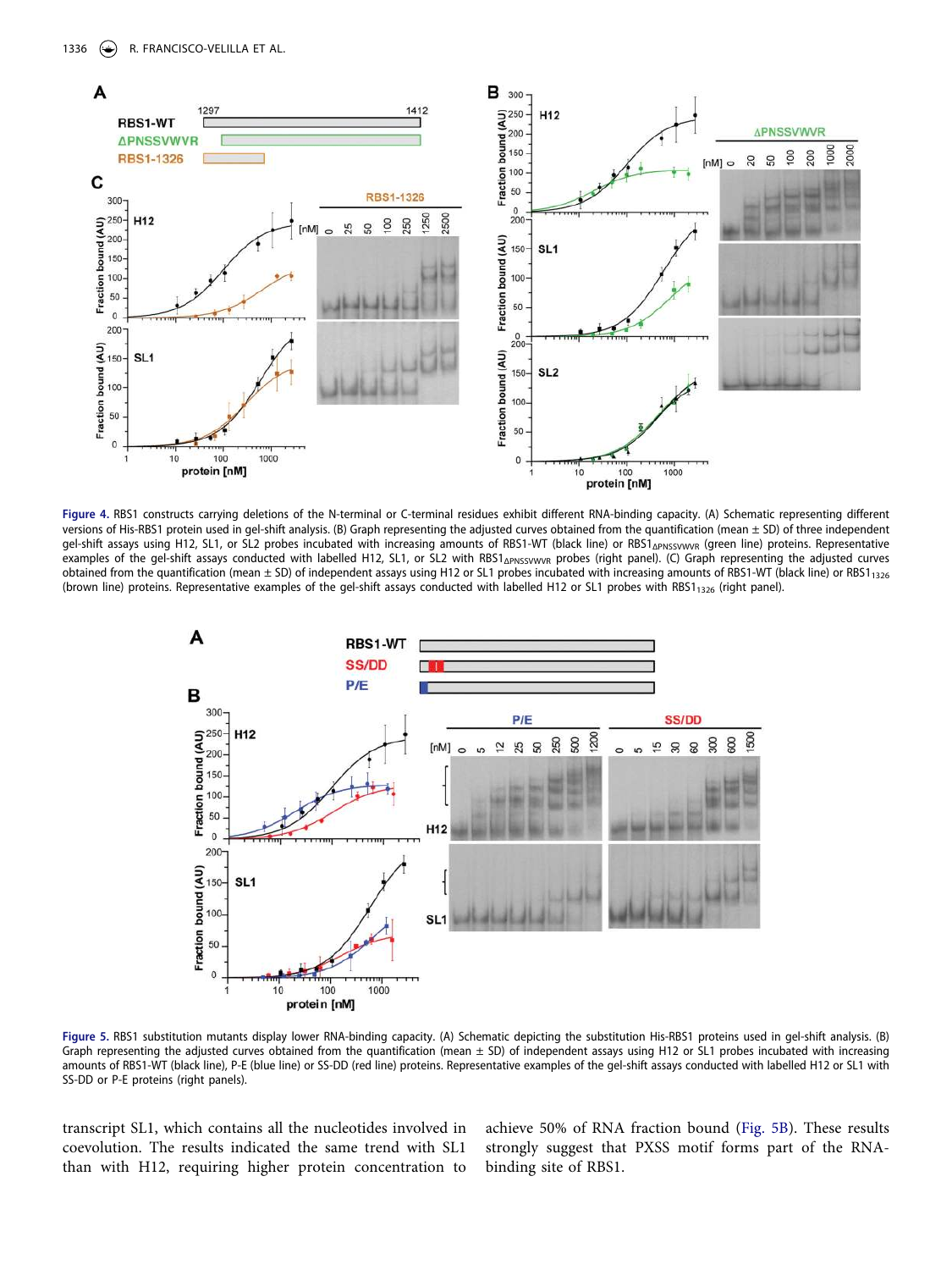

<span id="page-5-0"></span>**Figure 4.** RBS1 constructs carrying deletions of the N-terminal or C-terminal residues exhibit different RNA-binding capacity. (A) Schematic representing different versions of His-RBS1 protein used in gel-shift analysis. (B) Graph representing the adjusted curves obtained from the quantification (mean ± SD) of three independent gel-shift assays using H12, SL1, or SL2 probes incubated with increasing amounts of RBS1-WT (black line) or RBS1<sub>ΔPNSSVWVR</sub> (green line) proteins. Representative examples of the gel-shift assays conducted with labelled H12, SL1, or SL2 with RBS1<sub>APNSSVWVR</sub> probes (right panel). (C) Graph representing the adjusted curves obtained from the quantification (mean  $\pm$  SD) of independent assays using H12 or SL1 probes incubated with increasing amounts of RBS1-WT (black line) or RBS1<sub>1326</sub> (brown line) proteins. Representative examples of the gel-shift assays conducted with labelled H12 or SL1 probes with RBS1<sub>1326</sub> (right panel).



<span id="page-5-1"></span>**Figure 5.** RBS1 substitution mutants display lower RNA-binding capacity. (A) Schematic depicting the substitution His-RBS1 proteins used in gel-shift analysis. (B) Graph representing the adjusted curves obtained from the quantification (mean  $\pm$  SD) of independent assays using H12 or SL1 probes incubated with increasing amounts of RBS1-WT (black line), P-E (blue line) or SS-DD (red line) proteins. Representative examples of the gel-shift assays conducted with labelled H12 or SL1 with SS-DD or P-E proteins (right panels).

transcript SL1, which contains all the nucleotides involved in coevolution. The results indicated the same trend with SL1 than with H12, requiring higher protein concentration to

achieve 50% of RNA fraction bound [\(Fig. 5B\)](#page-5-1). These results strongly suggest that PXSS motif forms part of the RNAbinding site of RBS1.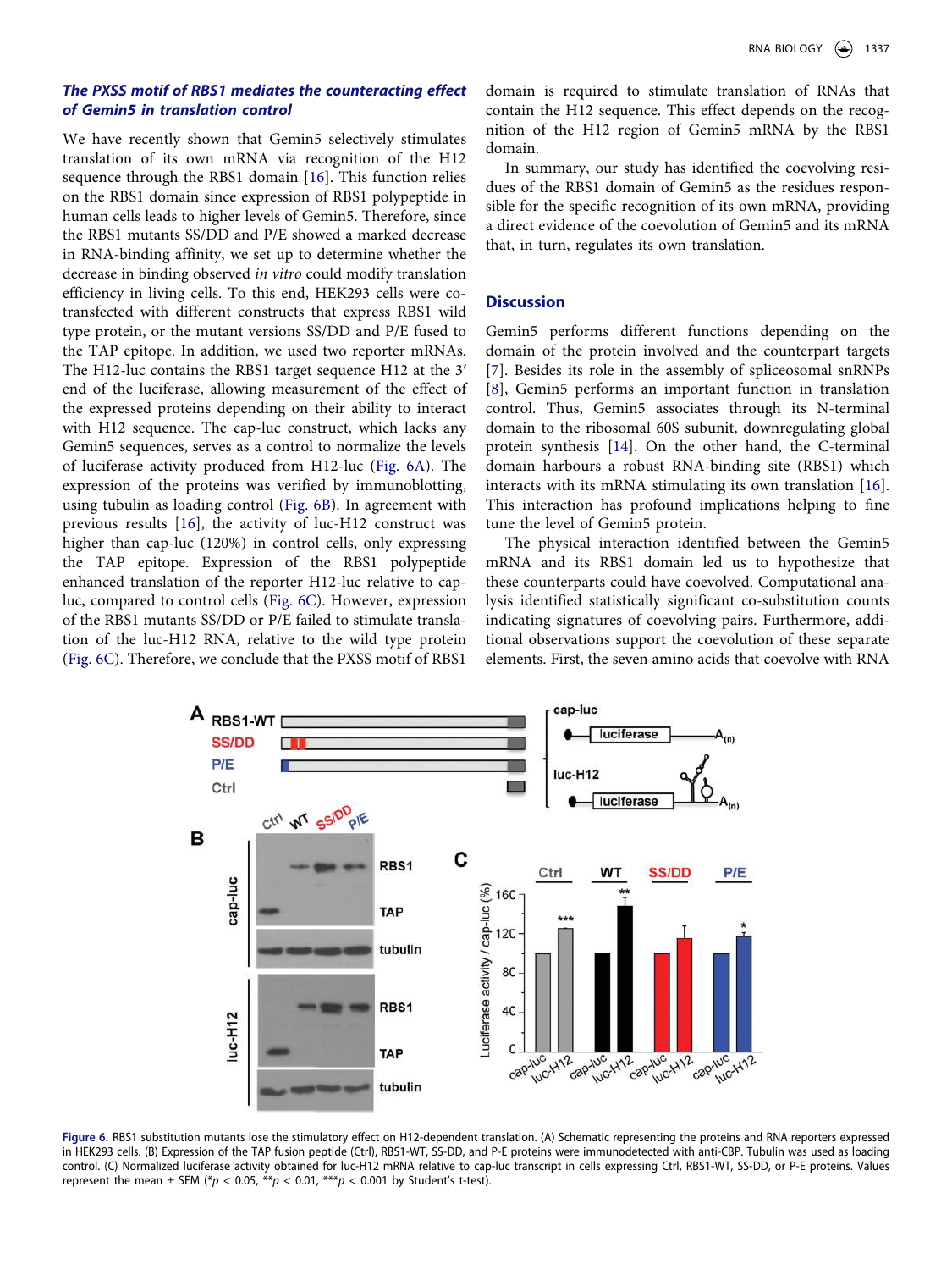# **The PXSS motif of RBS1 mediates the counteracting effect of Gemin5 in translation control**

We have recently shown that Gemin5 selectively stimulates translation of its own mRNA via recognition of the H12 sequence through the RBS1 domain [[16](#page-10-13)]. This function relies on the RBS1 domain since expression of RBS1 polypeptide in human cells leads to higher levels of Gemin5. Therefore, since the RBS1 mutants SS/DD and P/E showed a marked decrease in RNA-binding affinity, we set up to determine whether the decrease in binding observed in vitro could modify translation efficiency in living cells. To this end, HEK293 cells were cotransfected with different constructs that express RBS1 wild type protein, or the mutant versions SS/DD and P/E fused to the TAP epitope. In addition, we used two reporter mRNAs. The H12-luc contains the RBS1 target sequence H12 at the 3ʹ end of the luciferase, allowing measurement of the effect of the expressed proteins depending on their ability to interact with H12 sequence. The cap-luc construct, which lacks any Gemin5 sequences, serves as a control to normalize the levels of luciferase activity produced from H12-luc [\(Fig. 6A](#page-6-0)). The expression of the proteins was verified by immunoblotting, using tubulin as loading control ([Fig. 6B](#page-6-0)). In agreement with previous results [\[16](#page-10-13)], the activity of luc-H12 construct was higher than cap-luc (120%) in control cells, only expressing the TAP epitope. Expression of the RBS1 polypeptide enhanced translation of the reporter H12-luc relative to capluc, compared to control cells ([Fig. 6C](#page-6-0)). However, expression of the RBS1 mutants SS/DD or P/E failed to stimulate translation of the luc-H12 RNA, relative to the wild type protein [\(Fig. 6C](#page-6-0)). Therefore, we conclude that the PXSS motif of RBS1

domain is required to stimulate translation of RNAs that contain the H12 sequence. This effect depends on the recognition of the H12 region of Gemin5 mRNA by the RBS1 domain.

In summary, our study has identified the coevolving residues of the RBS1 domain of Gemin5 as the residues responsible for the specific recognition of its own mRNA, providing a direct evidence of the coevolution of Gemin5 and its mRNA that, in turn, regulates its own translation.

# **Discussion**

Gemin5 performs different functions depending on the domain of the protein involved and the counterpart targets [\[7](#page-10-5)]. Besides its role in the assembly of spliceosomal snRNPs [\[8](#page-10-6)], Gemin5 performs an important function in translation control. Thus, Gemin5 associates through its N-terminal domain to the ribosomal 60S subunit, downregulating global protein synthesis [\[14](#page-10-11)]. On the other hand, the C-terminal domain harbours a robust RNA-binding site (RBS1) which interacts with its mRNA stimulating its own translation [[16](#page-10-13)]. This interaction has profound implications helping to fine tune the level of Gemin5 protein.

The physical interaction identified between the Gemin5 mRNA and its RBS1 domain led us to hypothesize that these counterparts could have coevolved. Computational analysis identified statistically significant co-substitution counts indicating signatures of coevolving pairs. Furthermore, additional observations support the coevolution of these separate elements. First, the seven amino acids that coevolve with RNA



<span id="page-6-0"></span>**Figure 6.** RBS1 substitution mutants lose the stimulatory effect on H12-dependent translation. (A) Schematic representing the proteins and RNA reporters expressed in HEK293 cells. (B) Expression of the TAP fusion peptide (Ctrl), RBS1-WT, SS-DD, and P-E proteins were immunodetected with anti-CBP. Tubulin was used as loading control. (C) Normalized luciferase activity obtained for luc-H12 mRNA relative to cap-luc transcript in cells expressing Ctrl, RBS1-WT, SS-DD, or P-E proteins. Values represent the mean  $\pm$  SEM (\*p < 0.05, \*\*p < 0.01, \*\*\*p < 0.001 by Student's t-test).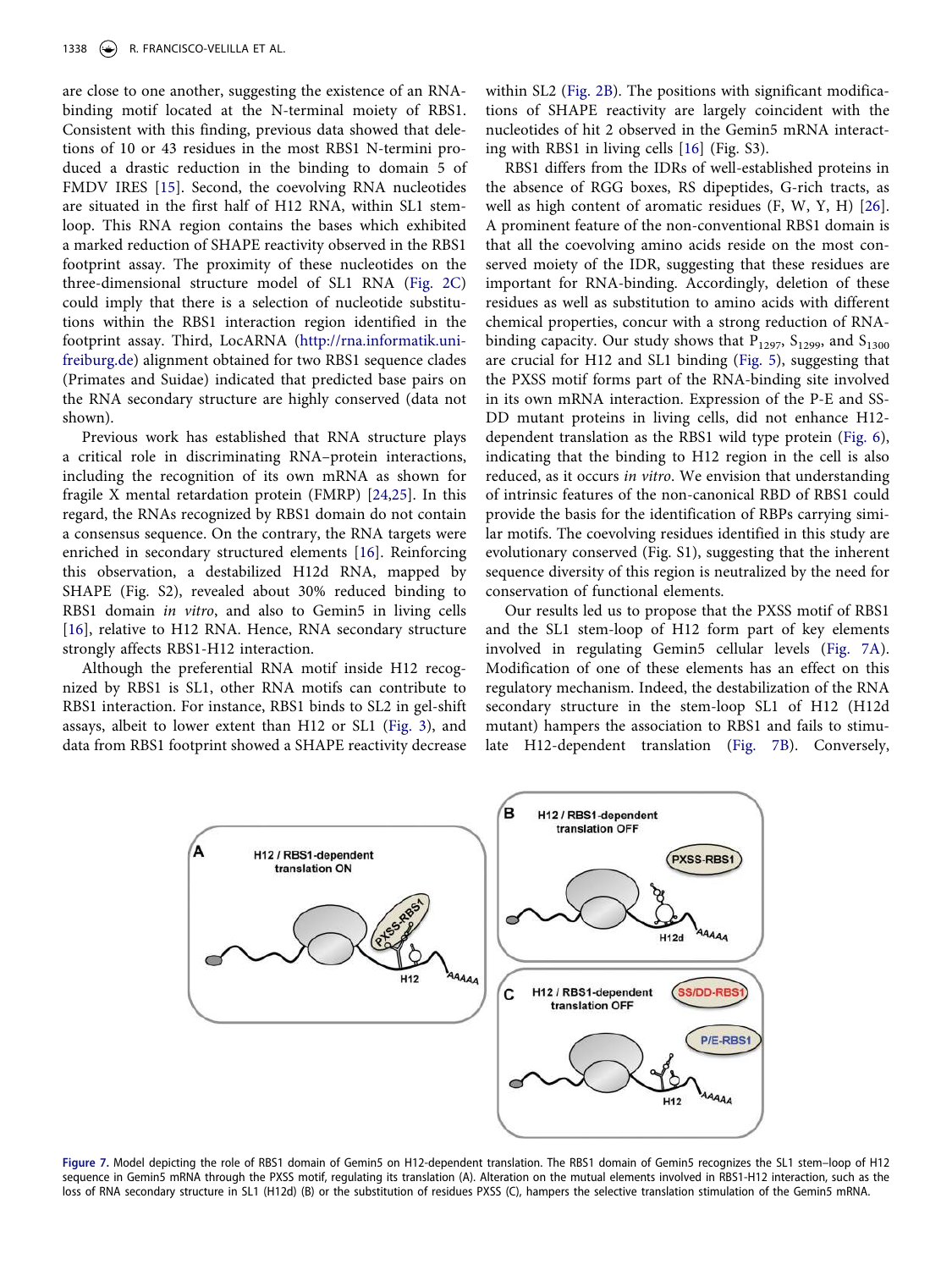are close to one another, suggesting the existence of an RNAbinding motif located at the N-terminal moiety of RBS1. Consistent with this finding, previous data showed that deletions of 10 or 43 residues in the most RBS1 N-termini produced a drastic reduction in the binding to domain 5 of FMDV IRES [[15\]](#page-10-12). Second, the coevolving RNA nucleotides are situated in the first half of H12 RNA, within SL1 stemloop. This RNA region contains the bases which exhibited a marked reduction of SHAPE reactivity observed in the RBS1 footprint assay. The proximity of these nucleotides on the three-dimensional structure model of SL1 RNA ([Fig. 2C\)](#page-3-0) could imply that there is a selection of nucleotide substitutions within the RBS1 interaction region identified in the footprint assay. Third, LocARNA [\(http://rna.informatik.uni](http://rna.informatik.uni-freiburg.de)[freiburg.de](http://rna.informatik.uni-freiburg.de)) alignment obtained for two RBS1 sequence clades (Primates and Suidae) indicated that predicted base pairs on the RNA secondary structure are highly conserved (data not shown).

<span id="page-7-1"></span>Previous work has established that RNA structure plays a critical role in discriminating RNA–protein interactions, including the recognition of its own mRNA as shown for fragile X mental retardation protein (FMRP) [\[24](#page-10-22)[,25](#page-10-23)]. In this regard, the RNAs recognized by RBS1 domain do not contain a consensus sequence. On the contrary, the RNA targets were enriched in secondary structured elements [\[16\]](#page-10-13). Reinforcing this observation, a destabilized H12d RNA, mapped by SHAPE (Fig. S2), revealed about 30% reduced binding to RBS1 domain in vitro, and also to Gemin5 in living cells [\[16](#page-10-13)], relative to H12 RNA. Hence, RNA secondary structure strongly affects RBS1-H12 interaction.

Although the preferential RNA motif inside H12 recognized by RBS1 is SL1, other RNA motifs can contribute to RBS1 interaction. For instance, RBS1 binds to SL2 in gel-shift assays, albeit to lower extent than H12 or SL1 [\(Fig. 3](#page-4-0)), and data from RBS1 footprint showed a SHAPE reactivity decrease within SL2 ([Fig. 2B](#page-3-0)). The positions with significant modifications of SHAPE reactivity are largely coincident with the nucleotides of hit 2 observed in the Gemin5 mRNA interacting with RBS1 in living cells [[16](#page-10-13)] (Fig. S3).

<span id="page-7-2"></span>RBS1 differs from the IDRs of well-established proteins in the absence of RGG boxes, RS dipeptides, G-rich tracts, as well as high content of aromatic residues (F, W, Y, H) [[26](#page-10-24)]. A prominent feature of the non-conventional RBS1 domain is that all the coevolving amino acids reside on the most conserved moiety of the IDR, suggesting that these residues are important for RNA-binding. Accordingly, deletion of these residues as well as substitution to amino acids with different chemical properties, concur with a strong reduction of RNAbinding capacity. Our study shows that  $P_{1297}$ ,  $S_{1299}$ , and  $S_{1300}$ are crucial for H12 and SL1 binding ([Fig. 5](#page-5-1)), suggesting that the PXSS motif forms part of the RNA-binding site involved in its own mRNA interaction. Expression of the P-E and SS-DD mutant proteins in living cells, did not enhance H12 dependent translation as the RBS1 wild type protein [\(Fig. 6](#page-6-0)), indicating that the binding to H12 region in the cell is also reduced, as it occurs in vitro. We envision that understanding of intrinsic features of the non-canonical RBD of RBS1 could provide the basis for the identification of RBPs carrying similar motifs. The coevolving residues identified in this study are evolutionary conserved (Fig. S1), suggesting that the inherent sequence diversity of this region is neutralized by the need for conservation of functional elements.

Our results led us to propose that the PXSS motif of RBS1 and the SL1 stem-loop of H12 form part of key elements involved in regulating Gemin5 cellular levels ([Fig. 7A](#page-7-0)). Modification of one of these elements has an effect on this regulatory mechanism. Indeed, the destabilization of the RNA secondary structure in the stem-loop SL1 of H12 (H12d mutant) hampers the association to RBS1 and fails to stimulate H12-dependent translation ([Fig. 7B](#page-7-0)). Conversely,



<span id="page-7-0"></span>**Figure 7.** Model depicting the role of RBS1 domain of Gemin5 on H12-dependent translation. The RBS1 domain of Gemin5 recognizes the SL1 stem–loop of H12 sequence in Gemin5 mRNA through the PXSS motif, regulating its translation (A). Alteration on the mutual elements involved in RBS1-H12 interaction, such as the loss of RNA secondary structure in SL1 (H12d) (B) or the substitution of residues PXSS (C), hampers the selective translation stimulation of the Gemin5 mRNA.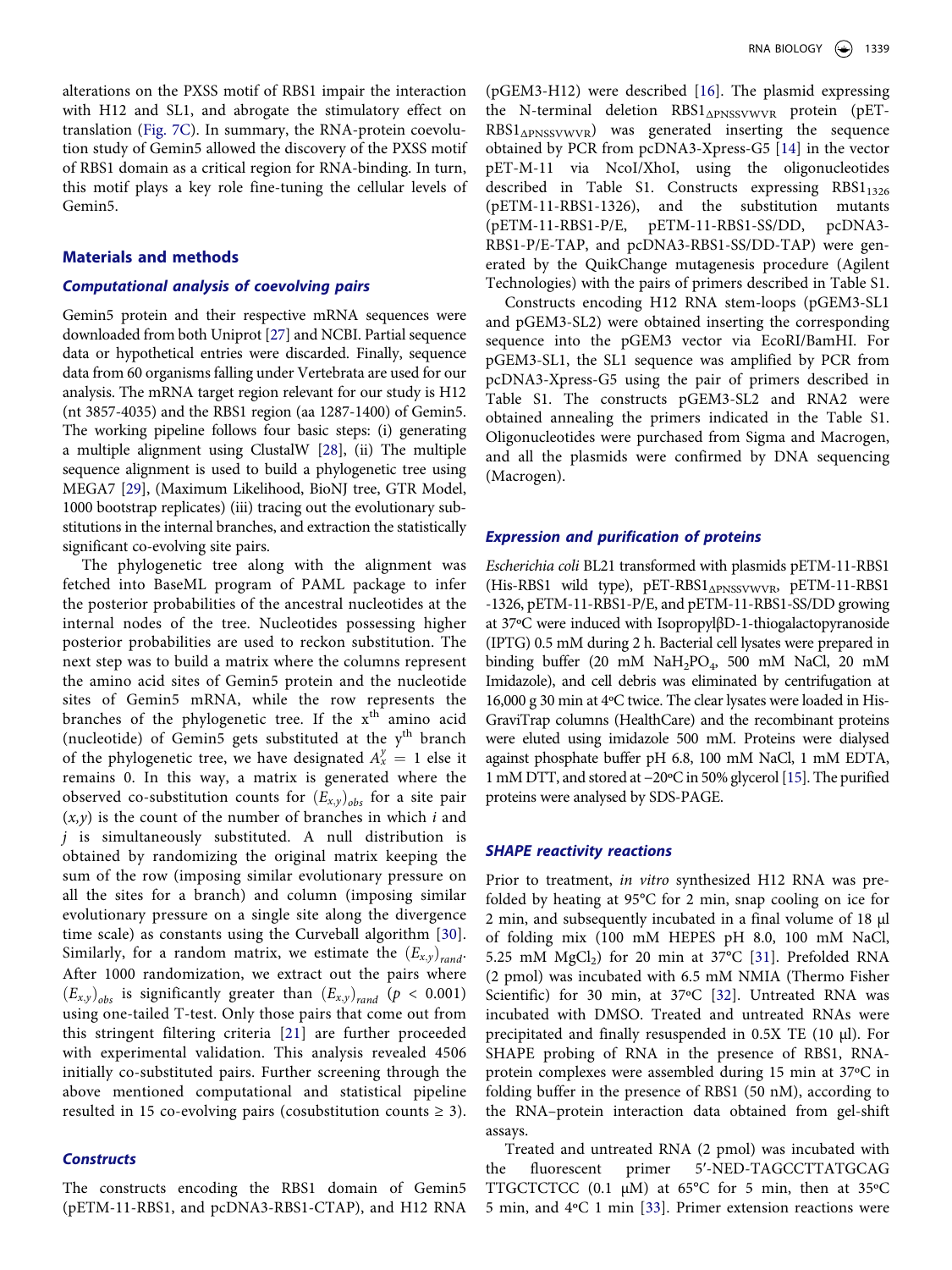alterations on the PXSS motif of RBS1 impair the interaction with H12 and SL1, and abrogate the stimulatory effect on translation [\(Fig. 7C\)](#page-7-0). In summary, the RNA-protein coevolution study of Gemin5 allowed the discovery of the PXSS motif of RBS1 domain as a critical region for RNA-binding. In turn, this motif plays a key role fine-tuning the cellular levels of Gemin5.

### **Materials and methods**

### **Computational analysis of coevolving pairs**

<span id="page-8-0"></span>Gemin5 protein and their respective mRNA sequences were downloaded from both Uniprot [[27](#page-10-25)] and NCBI. Partial sequence data or hypothetical entries were discarded. Finally, sequence data from 60 organisms falling under Vertebrata are used for our analysis. The mRNA target region relevant for our study is H12 (nt 3857-4035) and the RBS1 region (aa 1287-1400) of Gemin5. The working pipeline follows four basic steps: (i) generating a multiple alignment using ClustalW [\[28\]](#page-10-26), (ii) The multiple sequence alignment is used to build a phylogenetic tree using MEGA7 [[29](#page-10-27)], (Maximum Likelihood, BioNJ tree, GTR Model, 1000 bootstrap replicates) (iii) tracing out the evolutionary substitutions in the internal branches, and extraction the statistically significant co-evolving site pairs.

<span id="page-8-2"></span><span id="page-8-1"></span>The phylogenetic tree along with the alignment was fetched into BaseML program of PAML package to infer the posterior probabilities of the ancestral nucleotides at the internal nodes of the tree. Nucleotides possessing higher posterior probabilities are used to reckon substitution. The next step was to build a matrix where the columns represent the amino acid sites of Gemin5 protein and the nucleotide sites of Gemin5 mRNA, while the row represents the branches of the phylogenetic tree. If the  $x<sup>th</sup>$  amino acid (nucleotide) of Gemin5 gets substituted at the  $y<sup>th</sup>$  branch of the phylogenetic tree, we have designated  $A_x^y = 1$  else it remains 0. In this way, a matrix is generated where the observed co-substitution counts for  $(E_{x,y})_{obs}$  for a site pair  $(x, y)$  is the count of the number of branches in which i and  $j$  is simultaneously substituted. A null distribution is obtained by randomizing the original matrix keeping the sum of the row (imposing similar evolutionary pressure on all the sites for a branch) and column (imposing similar evolutionary pressure on a single site along the divergence time scale) as constants using the Curveball algorithm [\[30](#page-10-28)]. Similarly, for a random matrix, we estimate the  $(E_{x,y})_{rand}$ . After 1000 randomization, we extract out the pairs where  $(E_{x,y})_{obs}$  is significantly greater than  $(E_{x,y})_{rand}$  ( $p < 0.001$ ) using one-tailed T-test. Only those pairs that come out from this stringent filtering criteria [[21\]](#page-10-18) are further proceeded with experimental validation. This analysis revealed 4506 initially co-substituted pairs. Further screening through the above mentioned computational and statistical pipeline resulted in 15 co-evolving pairs (cosubstitution counts  $\geq$  3).

#### <span id="page-8-3"></span>**Constructs**

The constructs encoding the RBS1 domain of Gemin5 (pETM-11-RBS1, and pcDNA3-RBS1-CTAP), and H12 RNA (pGEM3-H12) were described [[16](#page-10-13)]. The plasmid expressing the N-terminal deletion RBS1<sub>ΔPNSSVWVR</sub> protein (pET- $RBS1_{\Delta PNSS VWVR}$  was generated inserting the sequence obtained by PCR from pcDNA3-Xpress-G5 [\[14\]](#page-10-11) in the vector pET-M-11 via NcoI/XhoI, using the oligonucleotides described in Table S1. Constructs expressing  $RBS1_{1326}$ (pETM-11-RBS1-1326), and the substitution mutants (pETM-11-RBS1-P/E, pETM-11-RBS1-SS/DD, pcDNA3- RBS1-P/E-TAP, and pcDNA3-RBS1-SS/DD-TAP) were generated by the QuikChange mutagenesis procedure (Agilent Technologies) with the pairs of primers described in Table S1.

Constructs encoding H12 RNA stem-loops (pGEM3-SL1 and pGEM3-SL2) were obtained inserting the corresponding sequence into the pGEM3 vector via EcoRI/BamHI. For pGEM3-SL1, the SL1 sequence was amplified by PCR from pcDNA3-Xpress-G5 using the pair of primers described in Table S1. The constructs pGEM3-SL2 and RNA2 were obtained annealing the primers indicated in the Table S1. Oligonucleotides were purchased from Sigma and Macrogen, and all the plasmids were confirmed by DNA sequencing (Macrogen).

### **Expression and purification of proteins**

Escherichia coli BL21 transformed with plasmids pETM-11-RBS1 (His-RBS1 wild type), pET-RBS1<sub>APNSSVWVR</sub>, pETM-11-RBS1 -1326, pETM-11-RBS1-P/E, and pETM-11-RBS1-SS/DD growing at 37ºC were induced with IsopropylβD-1-thiogalactopyranoside (IPTG) 0.5 mM during 2 h. Bacterial cell lysates were prepared in binding buffer (20 mM  $\mathrm{NaH}_2\mathrm{PO}_4$ , 500 mM  $\mathrm{NaCl}$ , 20 mM Imidazole), and cell debris was eliminated by centrifugation at 16,000 g 30 min at 4ºC twice. The clear lysates were loaded in His-GraviTrap columns (HealthCare) and the recombinant proteins were eluted using imidazole 500 mM. Proteins were dialysed against phosphate buffer pH 6.8, 100 mM NaCl, 1 mM EDTA, 1 mM DTT, and stored at −20ºC in 50% glycerol [\[15](#page-10-12)]. The purified proteins were analysed by SDS-PAGE.

#### **SHAPE reactivity reactions**

<span id="page-8-5"></span><span id="page-8-4"></span>Prior to treatment, in vitro synthesized H12 RNA was prefolded by heating at 95°C for 2 min, snap cooling on ice for 2 min, and subsequently incubated in a final volume of 18 μl of folding mix (100 mM HEPES pH 8.0, 100 mM NaCl, 5.25 mM  $MgCl<sub>2</sub>$ ) for 20 min at 37°C [\[31\]](#page-10-29). Prefolded RNA (2 pmol) was incubated with 6.5 mM NMIA (Thermo Fisher Scientific) for 30 min, at 37ºC [[32\]](#page-10-30). Untreated RNA was incubated with DMSO. Treated and untreated RNAs were precipitated and finally resuspended in 0.5X TE (10 μl). For SHAPE probing of RNA in the presence of RBS1, RNAprotein complexes were assembled during 15 min at 37ºC in folding buffer in the presence of RBS1 (50 nM), according to the RNA–protein interaction data obtained from gel-shift assays.

<span id="page-8-6"></span>Treated and untreated RNA (2 pmol) was incubated with the fluorescent primer 5ʹ-NED-TAGCCTTATGCAG TTGCTCTCC (0.1 µM) at 65°C for 5 min, then at 35°C 5 min, and 4ºC 1 min [[33](#page-10-31)]. Primer extension reactions were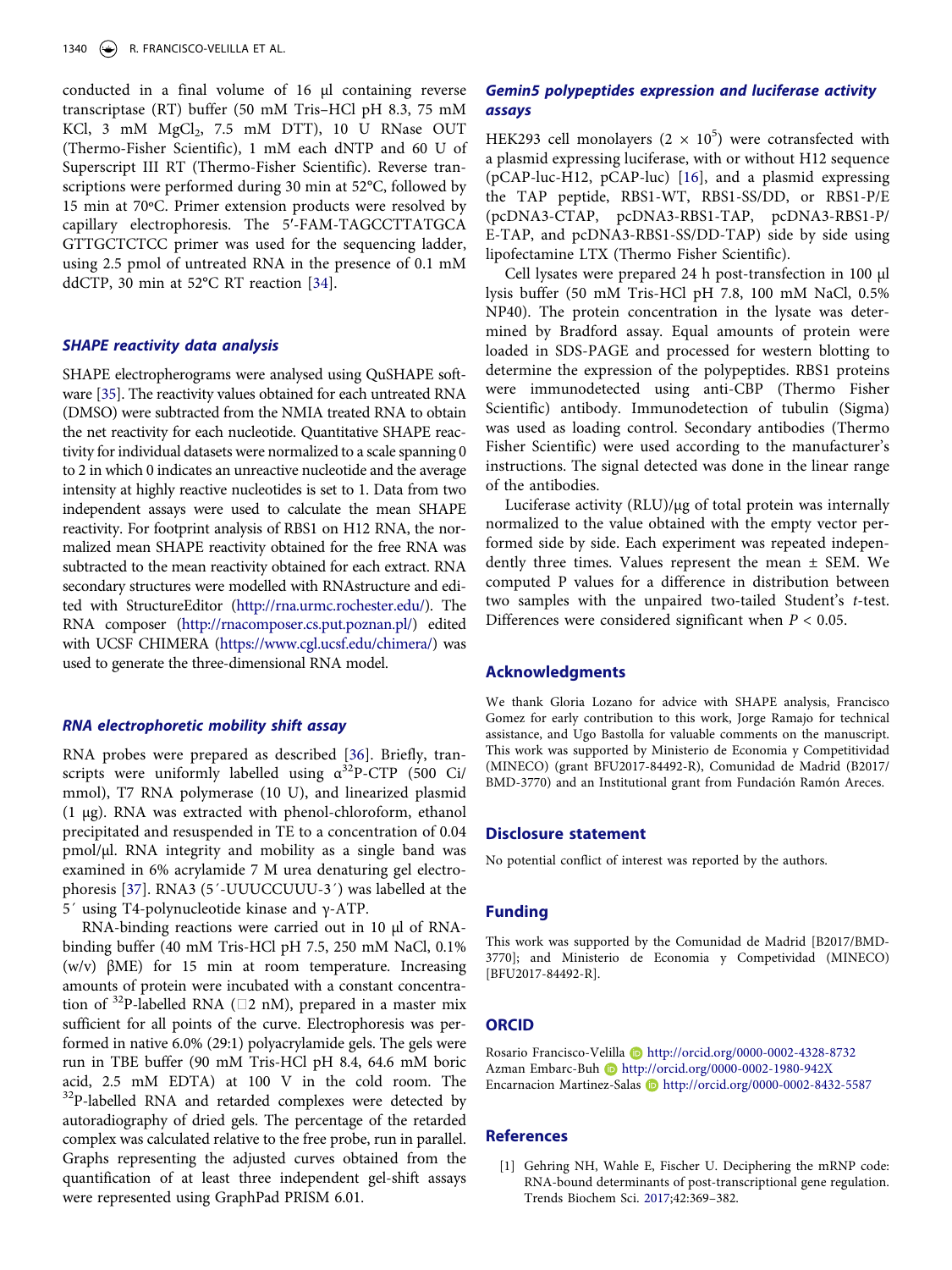conducted in a final volume of 16 μl containing reverse transcriptase (RT) buffer (50 mM Tris–HCl pH 8.3, 75 mM KCl, 3 mM MgCl<sub>2</sub>, 7.5 mM DTT), 10 U RNase OUT (Thermo-Fisher Scientific), 1 mM each dNTP and 60 U of Superscript III RT (Thermo-Fisher Scientific). Reverse transcriptions were performed during 30 min at 52°C, followed by 15 min at 70ºC. Primer extension products were resolved by capillary electrophoresis. The 5ʹ-FAM-TAGCCTTATGCA GTTGCTCTCC primer was used for the sequencing ladder, using 2.5 pmol of untreated RNA in the presence of 0.1 mM ddCTP, 30 min at 52°C RT reaction [\[34\]](#page-10-32).

#### <span id="page-9-1"></span>**SHAPE reactivity data analysis**

<span id="page-9-2"></span>SHAPE electropherograms were analysed using QuSHAPE software [\[35](#page-10-33)]. The reactivity values obtained for each untreated RNA (DMSO) were subtracted from the NMIA treated RNA to obtain the net reactivity for each nucleotide. Quantitative SHAPE reactivity for individual datasets were normalized to a scale spanning 0 to 2 in which 0 indicates an unreactive nucleotide and the average intensity at highly reactive nucleotides is set to 1. Data from two independent assays were used to calculate the mean SHAPE reactivity. For footprint analysis of RBS1 on H12 RNA, the normalized mean SHAPE reactivity obtained for the free RNA was subtracted to the mean reactivity obtained for each extract. RNA secondary structures were modelled with RNAstructure and edited with StructureEditor [\(http://rna.urmc.rochester.edu/\)](http://rna.urmc.rochester.edu/). The RNA composer [\(http://rnacomposer.cs.put.poznan.pl/](http://rnacomposer.cs.put.poznan.pl/)) edited with UCSF CHIMERA [\(https://www.cgl.ucsf.edu/chimera/\)](https://www.cgl.ucsf.edu/chimera/) was used to generate the three-dimensional RNA model.

### **RNA electrophoretic mobility shift assay**

<span id="page-9-3"></span>RNA probes were prepared as described [[36\]](#page-10-34). Briefly, transcripts were uniformly labelled using  $\alpha^{32}P$ -CTP (500 Ci/ mmol), T7 RNA polymerase (10 U), and linearized plasmid (1 µg). RNA was extracted with phenol-chloroform, ethanol precipitated and resuspended in TE to a concentration of 0.04 pmol/µl. RNA integrity and mobility as a single band was examined in 6% acrylamide 7 M urea denaturing gel electrophoresis [[37](#page-10-35)]. RNA3 (5´-UUUCCUUU-3´) was labelled at the 5´ using T4-polynucleotide kinase and γ-ATP.

<span id="page-9-4"></span>RNA-binding reactions were carried out in 10 µl of RNAbinding buffer (40 mM Tris-HCl pH 7.5, 250 mM NaCl, 0.1% (w/v) βME) for 15 min at room temperature. Increasing amounts of protein were incubated with a constant concentration of <sup>32</sup>P-labelled RNA ( $\square$ 2 nM), prepared in a master mix sufficient for all points of the curve. Electrophoresis was performed in native 6.0% (29:1) polyacrylamide gels. The gels were run in TBE buffer (90 mM Tris-HCl pH 8.4, 64.6 mM boric acid, 2.5 mM EDTA) at 100 V in the cold room. The <sup>32</sup>P-labelled RNA and retarded complexes were detected by autoradiography of dried gels. The percentage of the retarded complex was calculated relative to the free probe, run in parallel. Graphs representing the adjusted curves obtained from the quantification of at least three independent gel-shift assays were represented using GraphPad PRISM 6.01.

## **Gemin5 polypeptides expression and luciferase activity assays**

HEK293 cell monolayers  $(2 \times 10^5)$  were cotransfected with a plasmid expressing luciferase, with or without H12 sequence (pCAP-luc-H12, pCAP-luc) [\[16\]](#page-10-13), and a plasmid expressing the TAP peptide, RBS1-WT, RBS1-SS/DD, or RBS1-P/E (pcDNA3-CTAP, pcDNA3-RBS1-TAP, pcDNA3-RBS1-P/ E-TAP, and pcDNA3-RBS1-SS/DD-TAP) side by side using lipofectamine LTX (Thermo Fisher Scientific).

Cell lysates were prepared 24 h post-transfection in 100 µl lysis buffer (50 mM Tris-HCl pH 7.8, 100 mM NaCl, 0.5% NP40). The protein concentration in the lysate was determined by Bradford assay. Equal amounts of protein were loaded in SDS-PAGE and processed for western blotting to determine the expression of the polypeptides. RBS1 proteins were immunodetected using anti-CBP (Thermo Fisher Scientific) antibody. Immunodetection of tubulin (Sigma) was used as loading control. Secondary antibodies (Thermo Fisher Scientific) were used according to the manufacturer's instructions. The signal detected was done in the linear range of the antibodies.

Luciferase activity (RLU)/µg of total protein was internally normalized to the value obtained with the empty vector performed side by side. Each experiment was repeated independently three times. Values represent the mean  $\pm$  SEM. We computed P values for a difference in distribution between two samples with the unpaired two-tailed Student's t-test. Differences were considered significant when  $P < 0.05$ .

#### **Acknowledgments**

We thank Gloria Lozano for advice with SHAPE analysis, Francisco Gomez for early contribution to this work, Jorge Ramajo for technical assistance, and Ugo Bastolla for valuable comments on the manuscript. This work was supported by Ministerio de Economia y Competitividad (MINECO) (grant BFU2017-84492-R), Comunidad de Madrid (B2017/ BMD-3770) and an Institutional grant from Fundación Ramón Areces.

#### **Disclosure statement**

No potential conflict of interest was reported by the authors.

#### **Funding**

This work was supported by the Comunidad de Madrid [B2017/BMD-3770]; and Ministerio de Economia y Competividad (MINECO) [BFU2017-84492-R].

### **ORCID**

Rosario Francisco-Velilla Dhttp://orcid.org/0000-0002-4328-8732 Azman Embarc-Buh Dhttp://orcid.org/0000-0002-1980-942X Encarnacion Martinez-Salas http://orcid.org/0000-0002-8432-5587

### **References**

<span id="page-9-0"></span>[1] Gehring NH, Wahle E, Fischer U. Deciphering the mRNP code: RNA-bound determinants of post-transcriptional gene regulation. Trends Biochem Sci. [2017](#page-0-3);42:369–382.